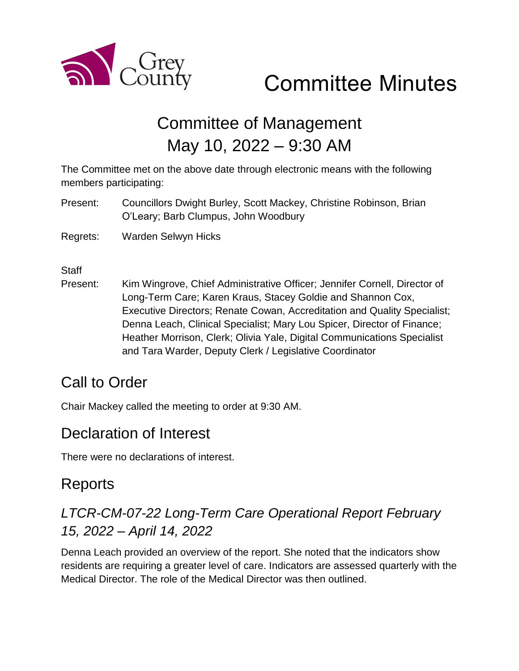

# Committee Minutes

# Committee of Management May 10, 2022 – 9:30 AM

The Committee met on the above date through electronic means with the following members participating:

- Present: Councillors Dwight Burley, Scott Mackey, Christine Robinson, Brian O'Leary; Barb Clumpus, John Woodbury
- Regrets: Warden Selwyn Hicks

**Staff** 

Present: Kim Wingrove, Chief Administrative Officer; Jennifer Cornell, Director of Long-Term Care; Karen Kraus, Stacey Goldie and Shannon Cox, Executive Directors; Renate Cowan, Accreditation and Quality Specialist; Denna Leach, Clinical Specialist; Mary Lou Spicer, Director of Finance; Heather Morrison, Clerk; Olivia Yale, Digital Communications Specialist and Tara Warder, Deputy Clerk / Legislative Coordinator

## Call to Order

Chair Mackey called the meeting to order at 9:30 AM.

#### Declaration of Interest

There were no declarations of interest.

## Reports

### *LTCR-CM-07-22 Long-Term Care Operational Report February 15, 2022 – April 14, 2022*

Denna Leach provided an overview of the report. She noted that the indicators show residents are requiring a greater level of care. Indicators are assessed quarterly with the Medical Director. The role of the Medical Director was then outlined.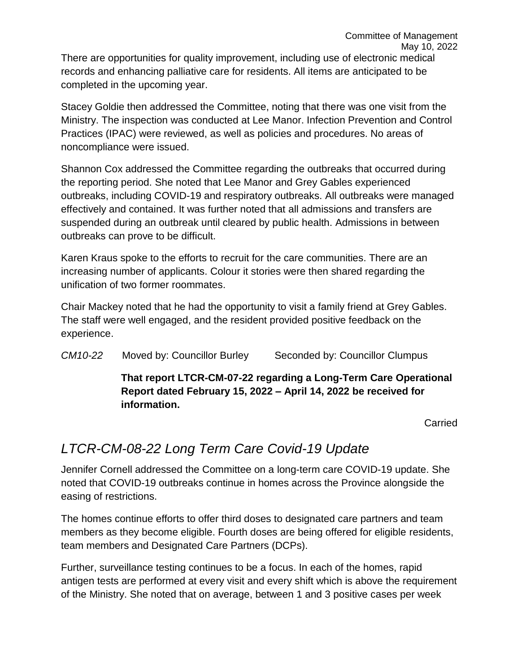There are opportunities for quality improvement, including use of electronic medical records and enhancing palliative care for residents. All items are anticipated to be completed in the upcoming year.

Stacey Goldie then addressed the Committee, noting that there was one visit from the Ministry. The inspection was conducted at Lee Manor. Infection Prevention and Control Practices (IPAC) were reviewed, as well as policies and procedures. No areas of noncompliance were issued.

Shannon Cox addressed the Committee regarding the outbreaks that occurred during the reporting period. She noted that Lee Manor and Grey Gables experienced outbreaks, including COVID-19 and respiratory outbreaks. All outbreaks were managed effectively and contained. It was further noted that all admissions and transfers are suspended during an outbreak until cleared by public health. Admissions in between outbreaks can prove to be difficult.

Karen Kraus spoke to the efforts to recruit for the care communities. There are an increasing number of applicants. Colour it stories were then shared regarding the unification of two former roommates.

Chair Mackey noted that he had the opportunity to visit a family friend at Grey Gables. The staff were well engaged, and the resident provided positive feedback on the experience.

*CM10-22* Moved by: Councillor Burley Seconded by: Councillor Clumpus

**That report LTCR-CM-07-22 regarding a Long-Term Care Operational Report dated February 15, 2022 – April 14, 2022 be received for information.** 

Carried

#### *LTCR-CM-08-22 Long Term Care Covid-19 Update*

Jennifer Cornell addressed the Committee on a long-term care COVID-19 update. She noted that COVID-19 outbreaks continue in homes across the Province alongside the easing of restrictions.

The homes continue efforts to offer third doses to designated care partners and team members as they become eligible. Fourth doses are being offered for eligible residents, team members and Designated Care Partners (DCPs).

Further, surveillance testing continues to be a focus. In each of the homes, rapid antigen tests are performed at every visit and every shift which is above the requirement of the Ministry. She noted that on average, between 1 and 3 positive cases per week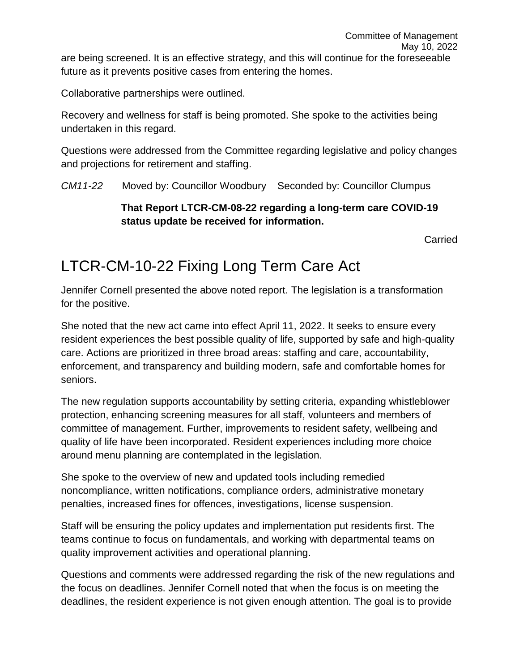Collaborative partnerships were outlined.

Recovery and wellness for staff is being promoted. She spoke to the activities being undertaken in this regard.

Questions were addressed from the Committee regarding legislative and policy changes and projections for retirement and staffing.

*CM11-22* Moved by: Councillor Woodbury Seconded by: Councillor Clumpus

#### **That Report LTCR-CM-08-22 regarding a long-term care COVID-19 status update be received for information.**

Carried

# LTCR-CM-10-22 Fixing Long Term Care Act

Jennifer Cornell presented the above noted report. The legislation is a transformation for the positive.

She noted that the new act came into effect April 11, 2022. It seeks to ensure every resident experiences the best possible quality of life, supported by safe and high-quality care. Actions are prioritized in three broad areas: staffing and care, accountability, enforcement, and transparency and building modern, safe and comfortable homes for seniors.

The new regulation supports accountability by setting criteria, expanding whistleblower protection, enhancing screening measures for all staff, volunteers and members of committee of management. Further, improvements to resident safety, wellbeing and quality of life have been incorporated. Resident experiences including more choice around menu planning are contemplated in the legislation.

She spoke to the overview of new and updated tools including remedied noncompliance, written notifications, compliance orders, administrative monetary penalties, increased fines for offences, investigations, license suspension.

Staff will be ensuring the policy updates and implementation put residents first. The teams continue to focus on fundamentals, and working with departmental teams on quality improvement activities and operational planning.

Questions and comments were addressed regarding the risk of the new regulations and the focus on deadlines. Jennifer Cornell noted that when the focus is on meeting the deadlines, the resident experience is not given enough attention. The goal is to provide